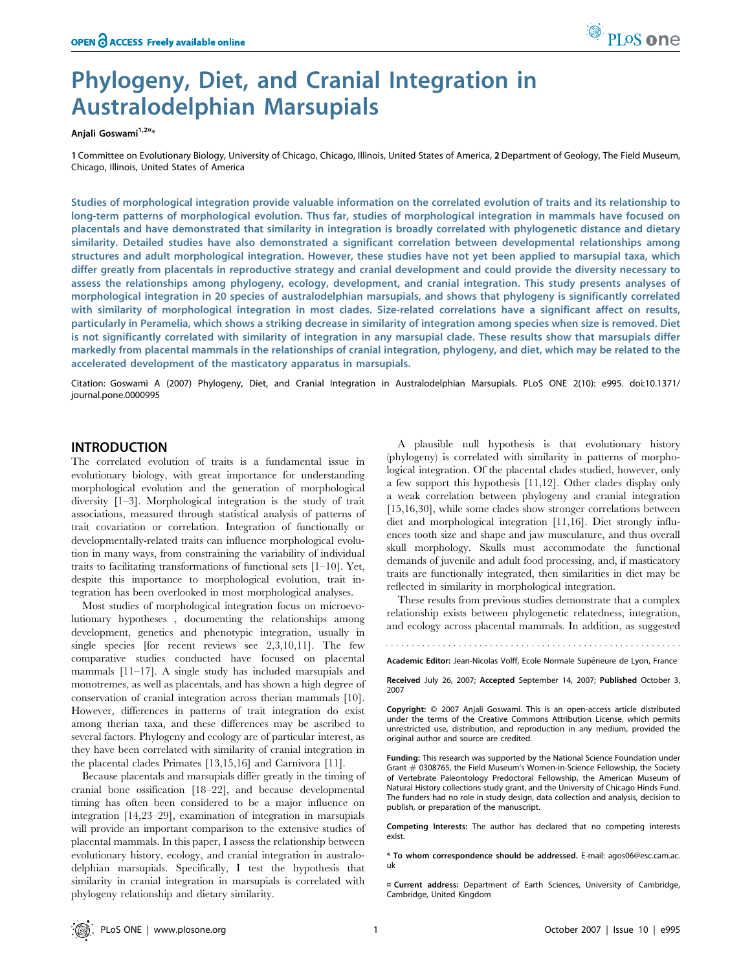

# Phylogeny, Diet, and Cranial Integration in Australodelphian Marsupials

Anjali Goswami<sup>1,2¤</sup>\*

1 Committee on Evolutionary Biology, University of Chicago, Chicago, Illinois, United States of America, 2Department of Geology, The Field Museum, Chicago, Illinois, United States of America

Studies of morphological integration provide valuable information on the correlated evolution of traits and its relationship to long-term patterns of morphological evolution. Thus far, studies of morphological integration in mammals have focused on placentals and have demonstrated that similarity in integration is broadly correlated with phylogenetic distance and dietary similarity. Detailed studies have also demonstrated a significant correlation between developmental relationships among structures and adult morphological integration. However, these studies have not yet been applied to marsupial taxa, which differ greatly from placentals in reproductive strategy and cranial development and could provide the diversity necessary to assess the relationships among phylogeny, ecology, development, and cranial integration. This study presents analyses of morphological integration in 20 species of australodelphian marsupials, and shows that phylogeny is significantly correlated with similarity of morphological integration in most clades. Size-related correlations have a significant affect on results, particularly in Peramelia, which shows a striking decrease in similarity of integration among species when size is removed. Diet is not significantly correlated with similarity of integration in any marsupial clade. These results show that marsupials differ markedly from placental mammals in the relationships of cranial integration, phylogeny, and diet, which may be related to the accelerated development of the masticatory apparatus in marsupials.

Citation: Goswami A (2007) Phylogeny, Diet, and Cranial Integration in Australodelphian Marsupials. PLoS ONE 2(10): e995. doi:10.1371/ journal.pone.0000995

## INTRODUCTION

The correlated evolution of traits is a fundamental issue in evolutionary biology, with great importance for understanding morphological evolution and the generation of morphological diversity [1–3]. Morphological integration is the study of trait associations, measured through statistical analysis of patterns of trait covariation or correlation. Integration of functionally or developmentally-related traits can influence morphological evolution in many ways, from constraining the variability of individual traits to facilitating transformations of functional sets  $[1-10]$ . Yet, despite this importance to morphological evolution, trait integration has been overlooked in most morphological analyses.

Most studies of morphological integration focus on microevolutionary hypotheses , documenting the relationships among development, genetics and phenotypic integration, usually in single species [for recent reviews see 2,3,10,11]. The few comparative studies conducted have focused on placental mammals [11–17]. A single study has included marsupials and monotremes, as well as placentals, and has shown a high degree of conservation of cranial integration across therian mammals [10]. However, differences in patterns of trait integration do exist among therian taxa, and these differences may be ascribed to several factors. Phylogeny and ecology are of particular interest, as they have been correlated with similarity of cranial integration in the placental clades Primates [13,15,16] and Carnivora [11].

Because placentals and marsupials differ greatly in the timing of cranial bone ossification [18–22], and because developmental timing has often been considered to be a major influence on integration [14,23–29], examination of integration in marsupials will provide an important comparison to the extensive studies of placental mammals. In this paper, I assess the relationship between evolutionary history, ecology, and cranial integration in australodelphian marsupials. Specifically, I test the hypothesis that similarity in cranial integration in marsupials is correlated with phylogeny relationship and dietary similarity.

A plausible null hypothesis is that evolutionary history (phylogeny) is correlated with similarity in patterns of morphological integration. Of the placental clades studied, however, only a few support this hypothesis [11,12]. Other clades display only a weak correlation between phylogeny and cranial integration [15,16,30], while some clades show stronger correlations between diet and morphological integration [11,16]. Diet strongly influences tooth size and shape and jaw musculature, and thus overall skull morphology. Skulls must accommodate the functional demands of juvenile and adult food processing, and, if masticatory traits are functionally integrated, then similarities in diet may be reflected in similarity in morphological integration.

These results from previous studies demonstrate that a complex relationship exists between phylogenetic relatedness, integration, and ecology across placental mammals. In addition, as suggested

Academic Editor: Jean-Nicolas Volff, Ecole Normale Supérieure de Lyon, France

Received July 26, 2007; Accepted September 14, 2007; Published October 3, 2007

Copyright: © 2007 Anjali Goswami. This is an open-access article distributed under the terms of the Creative Commons Attribution License, which permits unrestricted use, distribution, and reproduction in any medium, provided the original author and source are credited.

Funding: This research was supported by the National Science Foundation under Grant *#* 0308765, the Field Museum's Women-in-Science Fellowship, the Society of Vertebrate Paleontology Predoctoral Fellowship, the American Museum of Natural History collections study grant, and the University of Chicago Hinds Fund. The funders had no role in study design, data collection and analysis, decision to publish, or preparation of the manuscript.

Competing Interests: The author has declared that no competing interests exist.

\* To whom correspondence should be addressed. E-mail: agos06@esc.cam.ac. uk

¤ Current address: Department of Earth Sciences, University of Cambridge, Cambridge, United Kingdom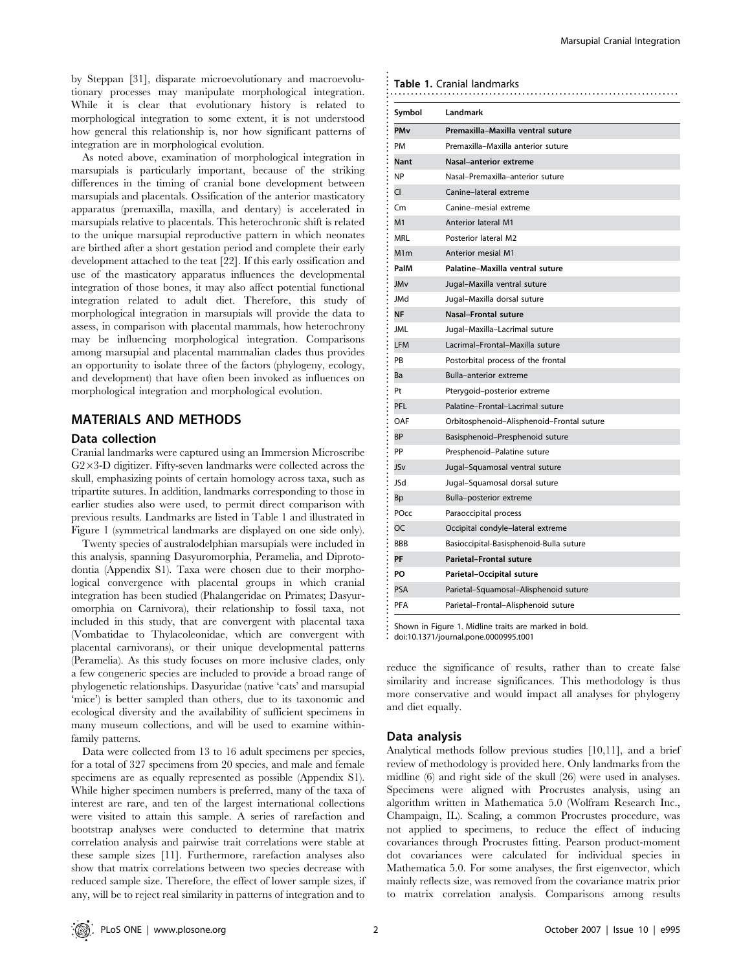by Steppan [31], disparate microevolutionary and macroevolutionary processes may manipulate morphological integration. While it is clear that evolutionary history is related to morphological integration to some extent, it is not understood how general this relationship is, nor how significant patterns of integration are in morphological evolution.

As noted above, examination of morphological integration in marsupials is particularly important, because of the striking differences in the timing of cranial bone development between marsupials and placentals. Ossification of the anterior masticatory apparatus (premaxilla, maxilla, and dentary) is accelerated in marsupials relative to placentals. This heterochronic shift is related to the unique marsupial reproductive pattern in which neonates are birthed after a short gestation period and complete their early development attached to the teat [22]. If this early ossification and use of the masticatory apparatus influences the developmental integration of those bones, it may also affect potential functional integration related to adult diet. Therefore, this study of morphological integration in marsupials will provide the data to assess, in comparison with placental mammals, how heterochrony may be influencing morphological integration. Comparisons among marsupial and placental mammalian clades thus provides an opportunity to isolate three of the factors (phylogeny, ecology, and development) that have often been invoked as influences on morphological integration and morphological evolution.

## MATERIALS AND METHODS

#### Data collection

Cranial landmarks were captured using an Immersion Microscribe  $G2\times3-D$  digitizer. Fifty-seven landmarks were collected across the skull, emphasizing points of certain homology across taxa, such as tripartite sutures. In addition, landmarks corresponding to those in earlier studies also were used, to permit direct comparison with previous results. Landmarks are listed in Table 1 and illustrated in Figure 1 (symmetrical landmarks are displayed on one side only).

Twenty species of australodelphian marsupials were included in this analysis, spanning Dasyuromorphia, Peramelia, and Diprotodontia (Appendix S1). Taxa were chosen due to their morphological convergence with placental groups in which cranial integration has been studied (Phalangeridae on Primates; Dasyuromorphia on Carnivora), their relationship to fossil taxa, not included in this study, that are convergent with placental taxa (Vombatidae to Thylacoleonidae, which are convergent with placental carnivorans), or their unique developmental patterns (Peramelia). As this study focuses on more inclusive clades, only a few congeneric species are included to provide a broad range of phylogenetic relationships. Dasyuridae (native 'cats' and marsupial 'mice') is better sampled than others, due to its taxonomic and ecological diversity and the availability of sufficient specimens in many museum collections, and will be used to examine withinfamily patterns.

Data were collected from 13 to 16 adult specimens per species, for a total of 327 specimens from 20 species, and male and female specimens are as equally represented as possible (Appendix S1). While higher specimen numbers is preferred, many of the taxa of interest are rare, and ten of the largest international collections were visited to attain this sample. A series of rarefaction and bootstrap analyses were conducted to determine that matrix correlation analysis and pairwise trait correlations were stable at these sample sizes [11]. Furthermore, rarefaction analyses also show that matrix correlations between two species decrease with reduced sample size. Therefore, the effect of lower sample sizes, if any, will be to reject real similarity in patterns of integration and to

#### Table 1. Cranial landmarks

| Symbol                | Landmark                                  |  |  |
|-----------------------|-------------------------------------------|--|--|
| <b>PM<sub>v</sub></b> | Premaxilla-Maxilla ventral suture         |  |  |
| PM                    | Premaxilla-Maxilla anterior suture        |  |  |
| <b>Nant</b>           | Nasal-anterior extreme                    |  |  |
| <b>NP</b>             | Nasal-Premaxilla-anterior suture          |  |  |
| CI                    | Canine-lateral extreme                    |  |  |
| Cm                    | Canine-mesial extreme                     |  |  |
| M1                    | <b>Anterior lateral M1</b>                |  |  |
| <b>MRL</b>            | Posterior lateral M2                      |  |  |
| M <sub>1</sub> m      | <b>Anterior mesial M1</b>                 |  |  |
| PalM                  | Palatine-Maxilla ventral suture           |  |  |
| JMv                   | Jugal-Maxilla ventral suture              |  |  |
| <b>JMd</b>            | Jugal-Maxilla dorsal suture               |  |  |
| <b>NF</b>             | <b>Nasal-Frontal suture</b>               |  |  |
| <b>JML</b>            | Jugal-Maxilla-Lacrimal suture             |  |  |
| <b>LFM</b>            | Lacrimal-Frontal-Maxilla suture           |  |  |
| PB                    | Postorbital process of the frontal        |  |  |
| Ba                    | Bulla-anterior extreme                    |  |  |
| Pt                    | Pterygoid-posterior extreme               |  |  |
| PFL                   | Palatine-Frontal-Lacrimal suture          |  |  |
| OAF                   | Orbitosphenoid-Alisphenoid-Frontal suture |  |  |
| <b>BP</b>             | Basisphenoid-Presphenoid suture           |  |  |
| PP                    | Presphenoid-Palatine suture               |  |  |
| JSv                   | Jugal-Squamosal ventral suture            |  |  |
| <b>JSd</b>            | Jugal-Squamosal dorsal suture             |  |  |
| <b>Bp</b>             | Bulla-posterior extreme                   |  |  |
| POcc                  | Paraoccipital process                     |  |  |
| OC                    | Occipital condyle-lateral extreme         |  |  |
| <b>BBB</b>            | Basioccipital-Basisphenoid-Bulla suture   |  |  |
| PF                    | <b>Parietal-Frontal suture</b>            |  |  |
| PO                    | Parietal-Occipital suture                 |  |  |
| <b>PSA</b>            | Parietal-Squamosal-Alisphenoid suture     |  |  |
| <b>PFA</b>            | Parietal-Frontal-Alisphenoid suture       |  |  |

doi:10.1371/journal.pone.0000995.t001

reduce the significance of results, rather than to create false similarity and increase significances. This methodology is thus more conservative and would impact all analyses for phylogeny and diet equally.

#### Data analysis

Analytical methods follow previous studies [10,11], and a brief review of methodology is provided here. Only landmarks from the midline (6) and right side of the skull (26) were used in analyses. Specimens were aligned with Procrustes analysis, using an algorithm written in Mathematica 5.0 (Wolfram Research Inc., Champaign, IL). Scaling, a common Procrustes procedure, was not applied to specimens, to reduce the effect of inducing covariances through Procrustes fitting. Pearson product-moment dot covariances were calculated for individual species in Mathematica 5.0. For some analyses, the first eigenvector, which mainly reflects size, was removed from the covariance matrix prior to matrix correlation analysis. Comparisons among results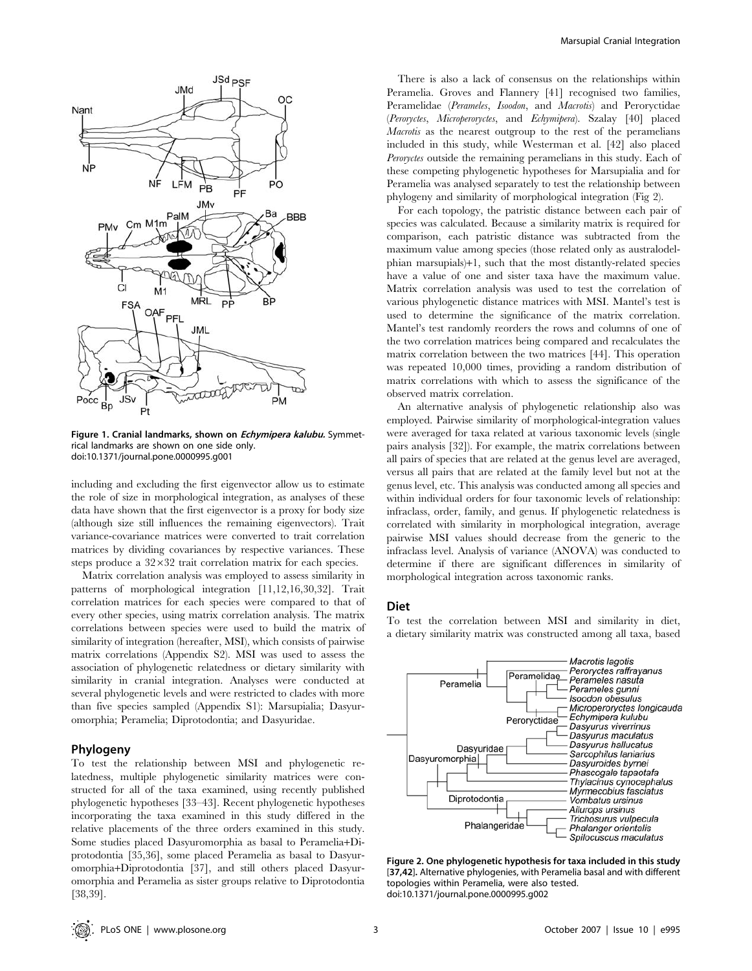

Figure 1. Cranial landmarks, shown on *Echymipera kalubu*. Symmetrical landmarks are shown on one side only. doi:10.1371/journal.pone.0000995.g001

including and excluding the first eigenvector allow us to estimate the role of size in morphological integration, as analyses of these data have shown that the first eigenvector is a proxy for body size (although size still influences the remaining eigenvectors). Trait variance-covariance matrices were converted to trait correlation matrices by dividing covariances by respective variances. These steps produce a  $32\times32$  trait correlation matrix for each species.

Matrix correlation analysis was employed to assess similarity in patterns of morphological integration [11,12,16,30,32]. Trait correlation matrices for each species were compared to that of every other species, using matrix correlation analysis. The matrix correlations between species were used to build the matrix of similarity of integration (hereafter, MSI), which consists of pairwise matrix correlations (Appendix S2). MSI was used to assess the association of phylogenetic relatedness or dietary similarity with similarity in cranial integration. Analyses were conducted at several phylogenetic levels and were restricted to clades with more than five species sampled (Appendix S1): Marsupialia; Dasyuromorphia; Peramelia; Diprotodontia; and Dasyuridae.

#### Phylogeny

To test the relationship between MSI and phylogenetic relatedness, multiple phylogenetic similarity matrices were constructed for all of the taxa examined, using recently published phylogenetic hypotheses [33–43]. Recent phylogenetic hypotheses incorporating the taxa examined in this study differed in the relative placements of the three orders examined in this study. Some studies placed Dasyuromorphia as basal to Peramelia+Diprotodontia [35,36], some placed Peramelia as basal to Dasyuromorphia+Diprotodontia [37], and still others placed Dasyuromorphia and Peramelia as sister groups relative to Diprotodontia [38,39].

There is also a lack of consensus on the relationships within Peramelia. Groves and Flannery [41] recognised two families, Peramelidae (Perameles, Isoodon, and Macrotis) and Peroryctidae (Peroryctes, Microperoryctes, and Echymipera). Szalay [40] placed Macrotis as the nearest outgroup to the rest of the peramelians included in this study, while Westerman et al. [42] also placed Peroryctes outside the remaining peramelians in this study. Each of these competing phylogenetic hypotheses for Marsupialia and for Peramelia was analysed separately to test the relationship between phylogeny and similarity of morphological integration (Fig 2).

For each topology, the patristic distance between each pair of species was calculated. Because a similarity matrix is required for comparison, each patristic distance was subtracted from the maximum value among species (those related only as australodelphian marsupials)+1, such that the most distantly-related species have a value of one and sister taxa have the maximum value. Matrix correlation analysis was used to test the correlation of various phylogenetic distance matrices with MSI. Mantel's test is used to determine the significance of the matrix correlation. Mantel's test randomly reorders the rows and columns of one of the two correlation matrices being compared and recalculates the matrix correlation between the two matrices [44]. This operation was repeated 10,000 times, providing a random distribution of matrix correlations with which to assess the significance of the observed matrix correlation.

An alternative analysis of phylogenetic relationship also was employed. Pairwise similarity of morphological-integration values were averaged for taxa related at various taxonomic levels (single pairs analysis [32]). For example, the matrix correlations between all pairs of species that are related at the genus level are averaged, versus all pairs that are related at the family level but not at the genus level, etc. This analysis was conducted among all species and within individual orders for four taxonomic levels of relationship: infraclass, order, family, and genus. If phylogenetic relatedness is correlated with similarity in morphological integration, average pairwise MSI values should decrease from the generic to the infraclass level. Analysis of variance (ANOVA) was conducted to determine if there are significant differences in similarity of morphological integration across taxonomic ranks.

#### Diet

To test the correlation between MSI and similarity in diet, a dietary similarity matrix was constructed among all taxa, based



Figure 2. One phylogenetic hypothesis for taxa included in this study [37,42]. Alternative phylogenies, with Peramelia basal and with different topologies within Peramelia, were also tested. doi:10.1371/journal.pone.0000995.g002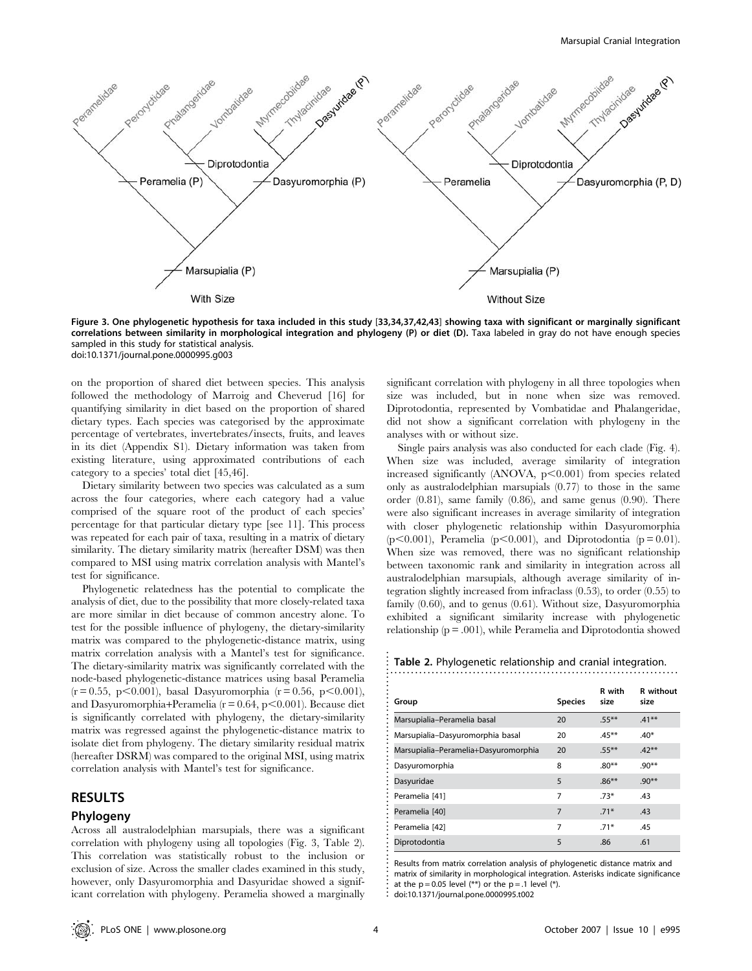

Figure 3. One phylogenetic hypothesis for taxa included in this study [33,34,37,42,43] showing taxa with significant or marginally significant correlations between similarity in morphological integration and phylogeny (P) or diet (D). Taxa labeled in gray do not have enough species sampled in this study for statistical analysis. doi:10.1371/journal.pone.0000995.g003

on the proportion of shared diet between species. This analysis followed the methodology of Marroig and Cheverud [16] for quantifying similarity in diet based on the proportion of shared dietary types. Each species was categorised by the approximate percentage of vertebrates, invertebrates/insects, fruits, and leaves in its diet (Appendix S1). Dietary information was taken from existing literature, using approximated contributions of each category to a species' total diet [45,46].

Dietary similarity between two species was calculated as a sum across the four categories, where each category had a value comprised of the square root of the product of each species' percentage for that particular dietary type [see 11]. This process was repeated for each pair of taxa, resulting in a matrix of dietary similarity. The dietary similarity matrix (hereafter DSM) was then compared to MSI using matrix correlation analysis with Mantel's test for significance.

Phylogenetic relatedness has the potential to complicate the analysis of diet, due to the possibility that more closely-related taxa are more similar in diet because of common ancestry alone. To test for the possible influence of phylogeny, the dietary-similarity matrix was compared to the phylogenetic-distance matrix, using matrix correlation analysis with a Mantel's test for significance. The dietary-similarity matrix was significantly correlated with the node-based phylogenetic-distance matrices using basal Peramelia  $(r = 0.55, p \le 0.001)$ , basal Dasyuromorphia  $(r = 0.56, p \le 0.001)$ , and Dasyuromorphia+Peramelia ( $r = 0.64$ ,  $p < 0.001$ ). Because diet is significantly correlated with phylogeny, the dietary-similarity matrix was regressed against the phylogenetic-distance matrix to isolate diet from phylogeny. The dietary similarity residual matrix (hereafter DSRM) was compared to the original MSI, using matrix correlation analysis with Mantel's test for significance.

## RESULTS

#### Phylogeny

Across all australodelphian marsupials, there was a significant correlation with phylogeny using all topologies (Fig. 3, Table 2). This correlation was statistically robust to the inclusion or exclusion of size. Across the smaller clades examined in this study, however, only Dasyuromorphia and Dasyuridae showed a significant correlation with phylogeny. Peramelia showed a marginally

significant correlation with phylogeny in all three topologies when size was included, but in none when size was removed. Diprotodontia, represented by Vombatidae and Phalangeridae, did not show a significant correlation with phylogeny in the analyses with or without size.

Single pairs analysis was also conducted for each clade (Fig. 4). When size was included, average similarity of integration increased significantly (ANOVA,  $p<0.001$ ) from species related only as australodelphian marsupials (0.77) to those in the same order (0.81), same family (0.86), and same genus (0.90). There were also significant increases in average similarity of integration with closer phylogenetic relationship within Dasyuromorphia (p $<0.001$ ), Peramelia (p $<0.001$ ), and Diprotodontia (p = 0.01). When size was removed, there was no significant relationship between taxonomic rank and similarity in integration across all australodelphian marsupials, although average similarity of integration slightly increased from infraclass (0.53), to order (0.55) to family (0.60), and to genus (0.61). Without size, Dasyuromorphia exhibited a significant similarity increase with phylogenetic relationship  $(p = .001)$ , while Peramelia and Diprotodontia showed

Table 2. Phylogenetic relationship and cranial integration.

|                                      |                | R with   | <b>R</b> without |
|--------------------------------------|----------------|----------|------------------|
| Group                                | <b>Species</b> | size     | size             |
| Marsupialia-Peramelia basal          | 20             | $.55***$ | $.41***$         |
| Marsupialia-Dasyuromorphia basal     | 20             | $.45***$ | $.40*$           |
| Marsupialia-Peramelia+Dasyuromorphia | 20             | $.55***$ | $.42***$         |
| Dasyuromorphia                       | 8              | $.80**$  | $.90**$          |
| Dasyuridae                           | 5              | $.86***$ | $.90**$          |
| Peramelia [41]                       | 7              | $.73*$   | .43              |
| Peramelia [40]                       | 7              | $.71*$   | .43              |
| Peramelia [42]                       | 7              | $.71*$   | .45              |
| Diprotodontia                        | 5              | .86      | .61              |

Results from matrix correlation analysis of phylogenetic distance matrix and matrix of similarity in morphological integration. Asterisks indicate significance at the  $p = 0.05$  level  $(**)$  or the  $p = .1$  level  $(*)$ .

............................................................ doi:10.1371/journal.pone.0000995.t002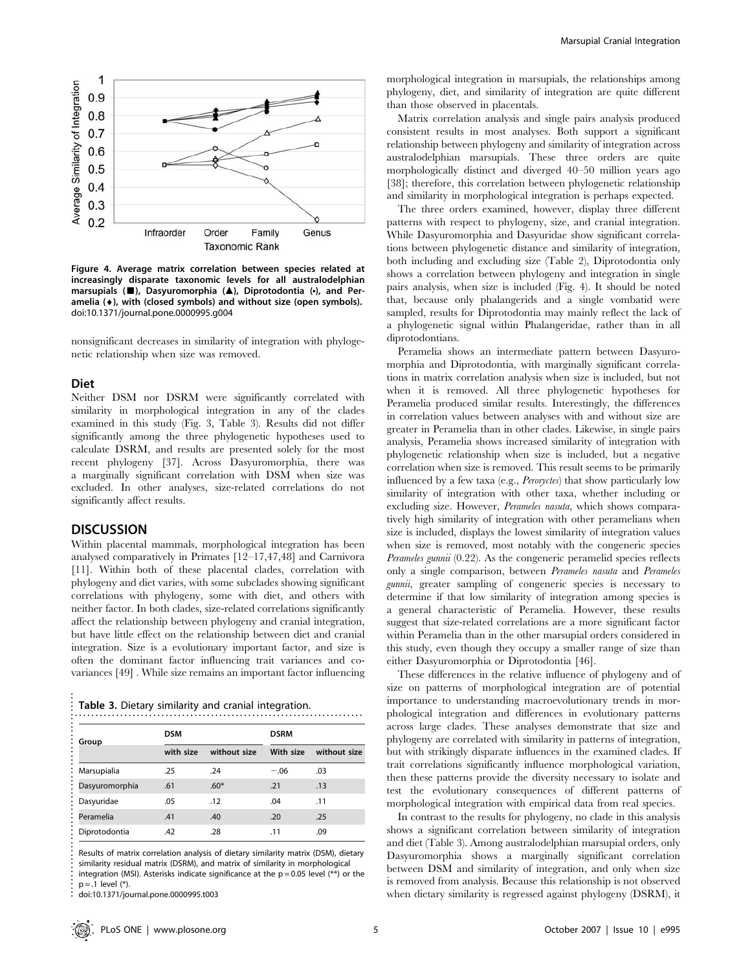

Figure 4. Average matrix correlation between species related at increasingly disparate taxonomic levels for all australodelphian marsupials (*&*), Dasyuromorphia (*m*), Diprotodontia (*N*), and Peramelia  $(*)$ , with (closed symbols) and without size (open symbols). doi:10.1371/journal.pone.0000995.g004

nonsignificant decreases in similarity of integration with phylogenetic relationship when size was removed.

#### Diet

Neither DSM nor DSRM were significantly correlated with similarity in morphological integration in any of the clades examined in this study (Fig. 3, Table 3). Results did not differ significantly among the three phylogenetic hypotheses used to calculate DSRM, and results are presented solely for the most recent phylogeny [37]. Across Dasyuromorphia, there was a marginally significant correlation with DSM when size was excluded. In other analyses, size-related correlations do not significantly affect results.

## **DISCUSSION**

..................................................

Within placental mammals, morphological integration has been analysed comparatively in Primates [12–17,47,48] and Carnivora [11]. Within both of these placental clades, correlation with phylogeny and diet varies, with some subclades showing significant correlations with phylogeny, some with diet, and others with neither factor. In both clades, size-related correlations significantly affect the relationship between phylogeny and cranial integration, but have little effect on the relationship between diet and cranial integration. Size is a evolutionary important factor, and size is often the dominant factor influencing trait variances and covariances [49] . While size remains an important factor influencing

Table 3. Dietary similarity and cranial integration.

| Group          | <b>DSM</b> |              | <b>DSRM</b> |              |
|----------------|------------|--------------|-------------|--------------|
|                | with size  | without size | With size   | without size |
| Marsupialia    | .25        | .24          | $-.06$      | .03          |
| Dasyuromorphia | .61        | $.60*$       | .21         | .13          |
| Dasyuridae     | .05        | .12          | .04         | .11          |
| Peramelia      | .41        | .40          | .20         | .25          |
| Diprotodontia  | .42        | .28          | .11         | .09          |

Results of matrix correlation analysis of dietary similarity matrix (DSM), dietary similarity residual matrix (DSRM), and matrix of similarity in morphological integration (MSI). Asterisks indicate significance at the  $p = 0.05$  level (\*\*) or the  $p = .1$  level  $(*)$ .

doi:10.1371/journal.pone.0000995.t003

morphological integration in marsupials, the relationships among phylogeny, diet, and similarity of integration are quite different than those observed in placentals.

Matrix correlation analysis and single pairs analysis produced consistent results in most analyses. Both support a significant relationship between phylogeny and similarity of integration across australodelphian marsupials. These three orders are quite morphologically distinct and diverged 40–50 million years ago [38]; therefore, this correlation between phylogenetic relationship and similarity in morphological integration is perhaps expected.

The three orders examined, however, display three different patterns with respect to phylogeny, size, and cranial integration. While Dasyuromorphia and Dasyuridae show significant correlations between phylogenetic distance and similarity of integration, both including and excluding size (Table 2), Diprotodontia only shows a correlation between phylogeny and integration in single pairs analysis, when size is included (Fig. 4). It should be noted that, because only phalangerids and a single vombatid were sampled, results for Diprotodontia may mainly reflect the lack of a phylogenetic signal within Phalangeridae, rather than in all diprotodontians.

Peramelia shows an intermediate pattern between Dasyuromorphia and Diprotodontia, with marginally significant correlations in matrix correlation analysis when size is included, but not when it is removed. All three phylogenetic hypotheses for Peramelia produced similar results. Interestingly, the differences in correlation values between analyses with and without size are greater in Peramelia than in other clades. Likewise, in single pairs analysis, Peramelia shows increased similarity of integration with phylogenetic relationship when size is included, but a negative correlation when size is removed. This result seems to be primarily influenced by a few taxa (e.g., *Peroryctes*) that show particularly low similarity of integration with other taxa, whether including or excluding size. However, Perameles nasuta, which shows comparatively high similarity of integration with other peramelians when size is included, displays the lowest similarity of integration values when size is removed, most notably with the congeneric species Perameles gunnii (0.22). As the congeneric peramelid species reflects only a single comparison, between Perameles nasuta and Perameles gunnii, greater sampling of congeneric species is necessary to determine if that low similarity of integration among species is a general characteristic of Peramelia. However, these results suggest that size-related correlations are a more significant factor within Peramelia than in the other marsupial orders considered in this study, even though they occupy a smaller range of size than either Dasyuromorphia or Diprotodontia [46].

These differences in the relative influence of phylogeny and of size on patterns of morphological integration are of potential importance to understanding macroevolutionary trends in morphological integration and differences in evolutionary patterns across large clades. These analyses demonstrate that size and phylogeny are correlated with similarity in patterns of integration, but with strikingly disparate influences in the examined clades. If trait correlations significantly influence morphological variation, then these patterns provide the diversity necessary to isolate and test the evolutionary consequences of different patterns of morphological integration with empirical data from real species.

In contrast to the results for phylogeny, no clade in this analysis shows a significant correlation between similarity of integration and diet (Table 3). Among australodelphian marsupial orders, only Dasyuromorphia shows a marginally significant correlation between DSM and similarity of integration, and only when size is removed from analysis. Because this relationship is not observed when dietary similarity is regressed against phylogeny (DSRM), it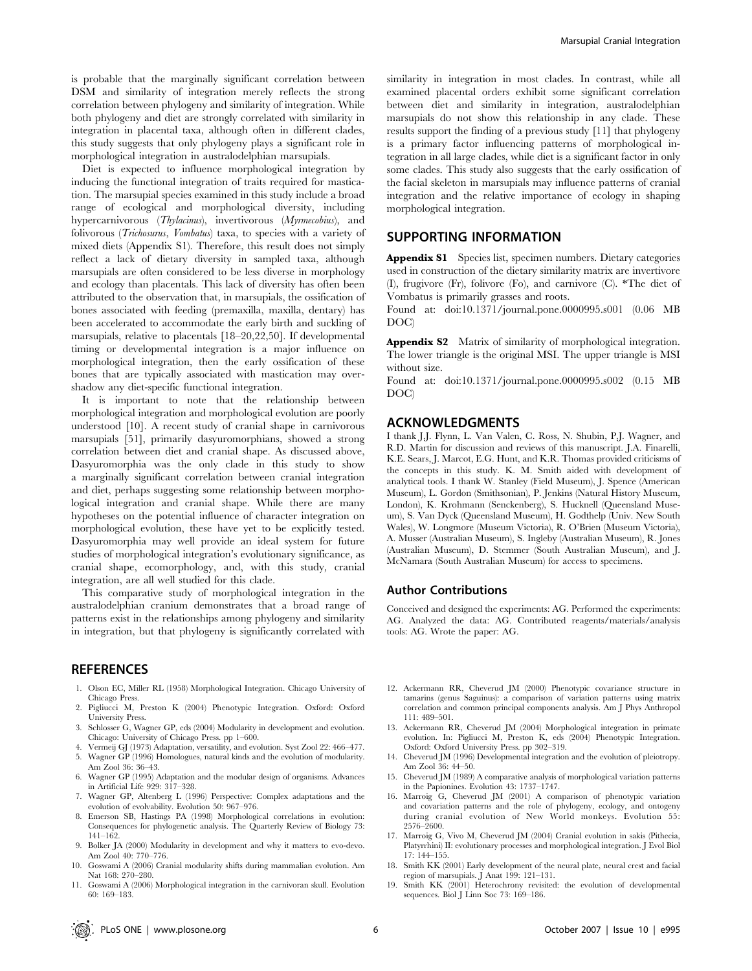is probable that the marginally significant correlation between DSM and similarity of integration merely reflects the strong correlation between phylogeny and similarity of integration. While both phylogeny and diet are strongly correlated with similarity in integration in placental taxa, although often in different clades, this study suggests that only phylogeny plays a significant role in morphological integration in australodelphian marsupials.

Diet is expected to influence morphological integration by inducing the functional integration of traits required for mastication. The marsupial species examined in this study include a broad range of ecological and morphological diversity, including hypercarnivorous (Thylacinus), invertivorous (Myrmecobius), and folivorous (*Trichosurus, Vombatus*) taxa, to species with a variety of mixed diets (Appendix S1). Therefore, this result does not simply reflect a lack of dietary diversity in sampled taxa, although marsupials are often considered to be less diverse in morphology and ecology than placentals. This lack of diversity has often been attributed to the observation that, in marsupials, the ossification of bones associated with feeding (premaxilla, maxilla, dentary) has been accelerated to accommodate the early birth and suckling of marsupials, relative to placentals [18–20,22,50]. If developmental timing or developmental integration is a major influence on morphological integration, then the early ossification of these bones that are typically associated with mastication may overshadow any diet-specific functional integration.

It is important to note that the relationship between morphological integration and morphological evolution are poorly understood [10]. A recent study of cranial shape in carnivorous marsupials [51], primarily dasyuromorphians, showed a strong correlation between diet and cranial shape. As discussed above, Dasyuromorphia was the only clade in this study to show a marginally significant correlation between cranial integration and diet, perhaps suggesting some relationship between morphological integration and cranial shape. While there are many hypotheses on the potential influence of character integration on morphological evolution, these have yet to be explicitly tested. Dasyuromorphia may well provide an ideal system for future studies of morphological integration's evolutionary significance, as cranial shape, ecomorphology, and, with this study, cranial integration, are all well studied for this clade.

This comparative study of morphological integration in the australodelphian cranium demonstrates that a broad range of patterns exist in the relationships among phylogeny and similarity in integration, but that phylogeny is significantly correlated with

## **REFERENCES**

- 1. Olson EC, Miller RL (1958) Morphological Integration. Chicago University of Chicago Press.
- 2. Pigliucci M, Preston K (2004) Phenotypic Integration. Oxford: Oxford University Press.
- 3. Schlosser G, Wagner GP, eds (2004) Modularity in development and evolution. Chicago: University of Chicago Press. pp 1–600.
- 4. Vermeij GJ (1973) Adaptation, versatility, and evolution. Syst Zool 22: 466–477.
- 5. Wagner GP (1996) Homologues, natural kinds and the evolution of modularity. Am Zool 36: 36–43.
- 6. Wagner GP (1995) Adaptation and the modular design of organisms. Advances in Artificial Life 929: 317–328.
- 7. Wagner GP, Altenberg L (1996) Perspective: Complex adaptations and the evolution of evolvability. Evolution 50: 967–976.
- 8. Emerson SB, Hastings PA (1998) Morphological correlations in evolution: Consequences for phylogenetic analysis. The Quarterly Review of Biology 73: 141–162.
- 9. Bolker JA (2000) Modularity in development and why it matters to evo-devo. Am Zool 40: 770–776.
- 10. Goswami A (2006) Cranial modularity shifts during mammalian evolution. Am Nat 168: 270–280.
- 11. Goswami A (2006) Morphological integration in the carnivoran skull. Evolution 60: 169–183.

similarity in integration in most clades. In contrast, while all examined placental orders exhibit some significant correlation between diet and similarity in integration, australodelphian marsupials do not show this relationship in any clade. These results support the finding of a previous study [11] that phylogeny is a primary factor influencing patterns of morphological integration in all large clades, while diet is a significant factor in only some clades. This study also suggests that the early ossification of the facial skeleton in marsupials may influence patterns of cranial integration and the relative importance of ecology in shaping morphological integration.

## SUPPORTING INFORMATION

Appendix S1 Species list, specimen numbers. Dietary categories used in construction of the dietary similarity matrix are invertivore (I), frugivore (Fr), folivore (Fo), and carnivore (C). \*The diet of Vombatus is primarily grasses and roots.

Found at: doi:10.1371/journal.pone.0000995.s001 (0.06 MB DOC)

Appendix S2 Matrix of similarity of morphological integration. The lower triangle is the original MSI. The upper triangle is MSI without size.

Found at: doi:10.1371/journal.pone.0000995.s002 (0.15 MB DOC)

## ACKNOWLEDGMENTS

I thank J.J. Flynn, L. Van Valen, C. Ross, N. Shubin, P.J. Wagner, and R.D. Martin for discussion and reviews of this manuscript. J.A. Finarelli, K.E. Sears, J. Marcot, E.G. Hunt, and K.R. Thomas provided criticisms of the concepts in this study. K. M. Smith aided with development of analytical tools. I thank W. Stanley (Field Museum), J. Spence (American Museum), L. Gordon (Smithsonian), P. Jenkins (Natural History Museum, London), K. Krohmann (Senckenberg), S. Hucknell (Queensland Museum), S. Van Dyck (Queensland Museum), H. Godthelp (Univ. New South Wales), W. Longmore (Museum Victoria), R. O'Brien (Museum Victoria), A. Musser (Australian Museum), S. Ingleby (Australian Museum), R. Jones (Australian Museum), D. Stemmer (South Australian Museum), and J. McNamara (South Australian Museum) for access to specimens.

#### Author Contributions

Conceived and designed the experiments: AG. Performed the experiments: AG. Analyzed the data: AG. Contributed reagents/materials/analysis tools: AG. Wrote the paper: AG.

- 12. Ackermann RR, Cheverud JM (2000) Phenotypic covariance structure in tamarins (genus Saguinus): a comparison of variation patterns using matrix correlation and common principal components analysis. Am J Phys Anthropol 111: 489–501.
- 13. Ackermann RR, Cheverud JM (2004) Morphological integration in primate evolution. In: Pigliucci M, Preston K, eds (2004) Phenotypic Integration. Oxford: Oxford University Press. pp 302–319.
- 14. Cheverud JM (1996) Developmental integration and the evolution of pleiotropy. Am Zool 36: 44–50.
- 15. Cheverud JM (1989) A comparative analysis of morphological variation patterns in the Papionines. Evolution 43: 1737–1747.
- 16. Marroig G, Cheverud JM (2001) A comparison of phenotypic variation and covariation patterns and the role of phylogeny, ecology, and ontogeny during cranial evolution of New World monkeys. Evolution 55: 2576–2600.
- 17. Marroig G, Vivo M, Cheverud JM (2004) Cranial evolution in sakis (Pithecia, Platyrrhini) II: evolutionary processes and morphological integration. J Evol Biol 17: 144–155.
- 18. Smith KK (2001) Early development of the neural plate, neural crest and facial region of marsupials. J Anat 199: 121–131.
- 19. Smith KK (2001) Heterochrony revisited: the evolution of developmental sequences. Biol J Linn Soc 73: 169–186.